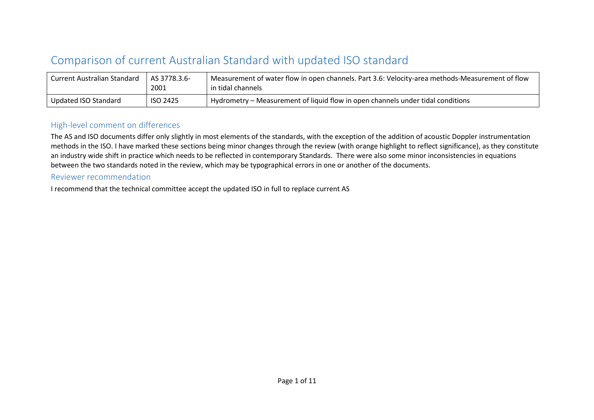## Comparison of current Australian Standard with updated ISO standard

| Current Australian Standard | AS 3778.3.6-<br>2001 | Measurement of water flow in open channels. Part 3.6: Velocity-area methods-Measurement of flow<br>in tidal channels |
|-----------------------------|----------------------|----------------------------------------------------------------------------------------------------------------------|
| Updated ISO Standard        | <b>ISO 2425</b>      | Hydrometry – Measurement of liquid flow in open channels under tidal conditions                                      |

## High-level comment on differences

The AS and ISO documents differ only slightly in most elements of the standards, with the exception of the addition of acoustic Doppler instrumentation methods in the ISO. I have marked these sections being minor changes through the review (with orange highlight to reflect significance), as they constitute an industry wide shift in practice which needs to be reflected in contemporary Standards. There were also some minor inconsistencies in equations between the two standards noted in the review, which may be typographical errors in one or another of the documents.

## Reviewer recommendation

I recommend that the technical committee accept the updated ISO in full to replace current AS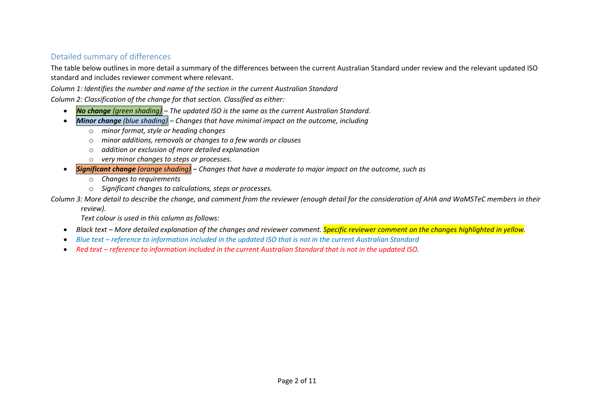## Detailed summary of differences

The table below outlines in more detail a summary of the differences between the current Australian Standard under review and the relevant updated ISO standard and includes reviewer comment where relevant.

*Column 1: Identifies the number and name of the section in the current Australian Standard*

*Column 2: Classification of the change for that section. Classified as either:*

- *No change (green shading) – The updated ISO is the same as the current Australian Standard.*
- *Minor change (blue shading) – Changes that have minimal impact on the outcome, including*
	- o *minor format, style or heading changes*
	- o *minor additions, removals or changes to a few words or clauses*
	- o *addition or exclusion of more detailed explanation*
	- o *very minor changes to steps or processes.*
- *Significant change (orange shading) – Changes that have a moderate to major impact on the outcome, such as*
	- o *Changes to requirements*
	- o *Significant changes to calculations, steps or processes.*

*Column 3: More detail to describe the change, and comment from the reviewer (enough detail for the consideration of AHA and WaMSTeC members in their* 

*review).*

*Text colour is used in this column as follows:*

- *Black text – More detailed explanation of the changes and reviewer comment. Specific reviewer comment on the changes highlighted in yellow.*
- *Blue text – reference to information included in the updated ISO that is not in the current Australian Standard*
- Red text *reference to information included in the current Australian Standard that is not in the updated ISO.*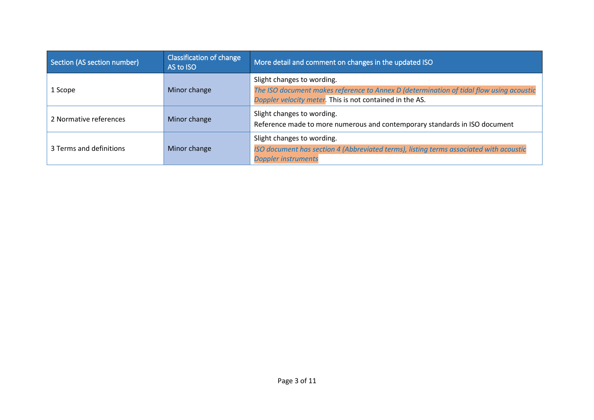| Section (AS section number) | <b>Classification of change</b><br>AS to ISO | More detail and comment on changes in the updated ISO                                                                                               |
|-----------------------------|----------------------------------------------|-----------------------------------------------------------------------------------------------------------------------------------------------------|
| 1 Scope                     | Minor change                                 | Slight changes to wording.                                                                                                                          |
|                             |                                              | The ISO document makes reference to Annex D (determination of tidal flow using acoustic<br>Doppler velocity meter. This is not contained in the AS. |
| 2 Normative references      | Minor change                                 | Slight changes to wording.                                                                                                                          |
|                             |                                              | Reference made to more numerous and contemporary standards in ISO document                                                                          |
| 3 Terms and definitions     | Minor change                                 | Slight changes to wording.                                                                                                                          |
|                             |                                              | ISO document has section 4 (Abbreviated terms), listing terms associated with acoustic                                                              |
|                             |                                              | <b>Doppler instruments</b>                                                                                                                          |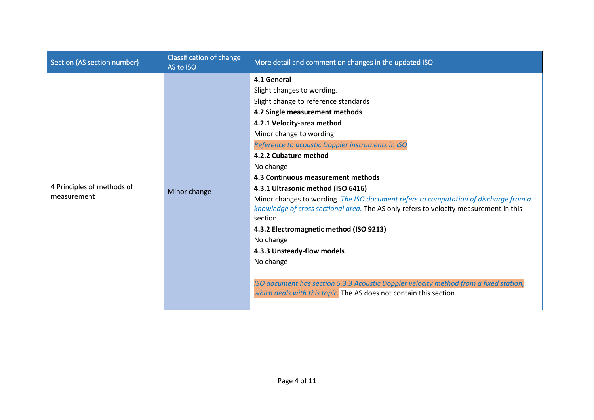| Section (AS section number) | <b>Classification of change</b><br>AS to ISO | More detail and comment on changes in the updated ISO                                                                                                                         |
|-----------------------------|----------------------------------------------|-------------------------------------------------------------------------------------------------------------------------------------------------------------------------------|
|                             |                                              | 4.1 General                                                                                                                                                                   |
|                             |                                              | Slight changes to wording.                                                                                                                                                    |
|                             |                                              | Slight change to reference standards                                                                                                                                          |
|                             |                                              | 4.2 Single measurement methods                                                                                                                                                |
|                             |                                              | 4.2.1 Velocity-area method                                                                                                                                                    |
|                             |                                              | Minor change to wording                                                                                                                                                       |
|                             |                                              | Reference to acoustic Doppler instruments in ISO                                                                                                                              |
|                             | Minor change                                 | 4.2.2 Cubature method                                                                                                                                                         |
|                             |                                              | No change                                                                                                                                                                     |
|                             |                                              | 4.3 Continuous measurement methods                                                                                                                                            |
| 4 Principles of methods of  |                                              | 4.3.1 Ultrasonic method (ISO 6416)                                                                                                                                            |
| measurement                 |                                              | Minor changes to wording. The ISO document refers to computation of discharge from a<br>knowledge of cross sectional area. The AS only refers to velocity measurement in this |
|                             |                                              | section.                                                                                                                                                                      |
|                             |                                              | 4.3.2 Electromagnetic method (ISO 9213)                                                                                                                                       |
|                             |                                              | No change                                                                                                                                                                     |
|                             |                                              | 4.3.3 Unsteady-flow models                                                                                                                                                    |
|                             |                                              | No change                                                                                                                                                                     |
|                             |                                              | ISO document has section 5.3.3 Acoustic Doppler velocity method from a fixed station,<br>which deals with this topic. The AS does not contain this section.                   |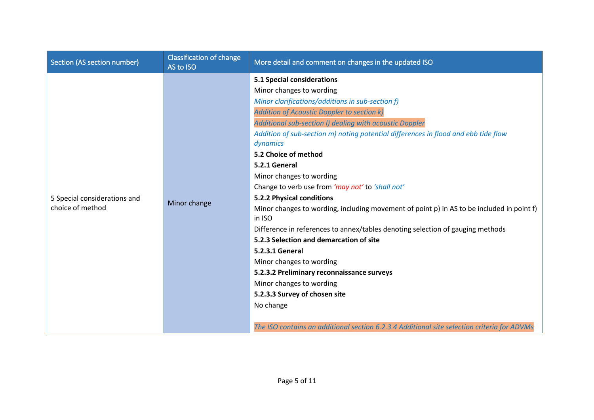| Section (AS section number)                      | <b>Classification of change</b><br>AS to ISO | More detail and comment on changes in the updated ISO                                                                                                                                                                                                                                                                                                                                                                                                                                                                                                                                                                                                        |
|--------------------------------------------------|----------------------------------------------|--------------------------------------------------------------------------------------------------------------------------------------------------------------------------------------------------------------------------------------------------------------------------------------------------------------------------------------------------------------------------------------------------------------------------------------------------------------------------------------------------------------------------------------------------------------------------------------------------------------------------------------------------------------|
|                                                  |                                              | <b>5.1 Special considerations</b><br>Minor changes to wording<br>Minor clarifications/additions in sub-section f)<br><b>Addition of Acoustic Doppler to section k)</b><br>Additional sub-section I) dealing with acoustic Doppler<br>Addition of sub-section m) noting potential differences in flood and ebb tide flow<br>dynamics                                                                                                                                                                                                                                                                                                                          |
| 5 Special considerations and<br>choice of method | Minor change                                 | 5.2 Choice of method<br>5.2.1 General<br>Minor changes to wording<br>Change to verb use from 'may not' to 'shall not'<br>5.2.2 Physical conditions<br>Minor changes to wording, including movement of point p) in AS to be included in point f)<br>in ISO<br>Difference in references to annex/tables denoting selection of gauging methods<br>5.2.3 Selection and demarcation of site<br>5.2.3.1 General<br>Minor changes to wording<br>5.2.3.2 Preliminary reconnaissance surveys<br>Minor changes to wording<br>5.2.3.3 Survey of chosen site<br>No change<br>The ISO contains an additional section 6.2.3.4 Additional site selection criteria for ADVMs |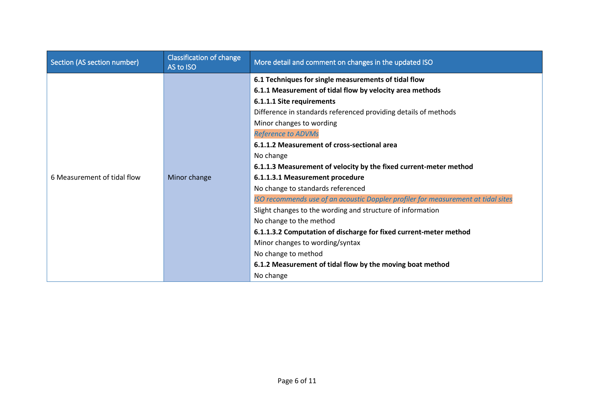| Section (AS section number) | <b>Classification of change</b><br>AS to ISO | More detail and comment on changes in the updated ISO                             |
|-----------------------------|----------------------------------------------|-----------------------------------------------------------------------------------|
|                             |                                              | 6.1 Techniques for single measurements of tidal flow                              |
|                             |                                              | 6.1.1 Measurement of tidal flow by velocity area methods                          |
|                             |                                              | 6.1.1.1 Site requirements                                                         |
|                             |                                              | Difference in standards referenced providing details of methods                   |
|                             |                                              | Minor changes to wording                                                          |
|                             |                                              | <b>Reference to ADVMs</b>                                                         |
|                             |                                              | 6.1.1.2 Measurement of cross-sectional area                                       |
|                             |                                              | No change                                                                         |
|                             |                                              | 6.1.1.3 Measurement of velocity by the fixed current-meter method                 |
| 6 Measurement of tidal flow | Minor change                                 | 6.1.1.3.1 Measurement procedure                                                   |
|                             |                                              | No change to standards referenced                                                 |
|                             |                                              | ISO recommends use of an acoustic Doppler profiler for measurement at tidal sites |
|                             |                                              | Slight changes to the wording and structure of information                        |
|                             |                                              | No change to the method                                                           |
|                             |                                              | 6.1.1.3.2 Computation of discharge for fixed current-meter method                 |
|                             |                                              | Minor changes to wording/syntax                                                   |
|                             |                                              | No change to method                                                               |
|                             |                                              | 6.1.2 Measurement of tidal flow by the moving boat method                         |
|                             |                                              | No change                                                                         |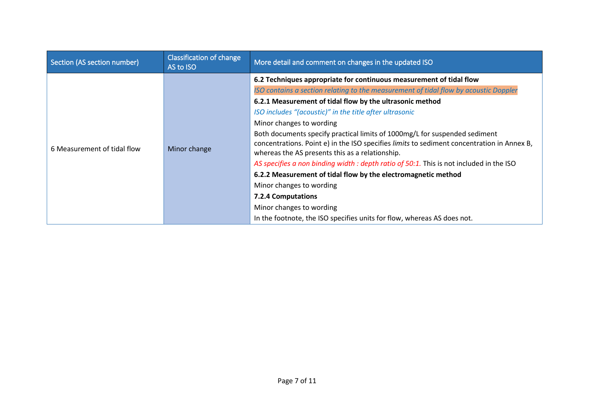| Section (AS section number) | <b>Classification of change</b><br>AS to ISO | More detail and comment on changes in the updated ISO                                                                                                                                                                       |
|-----------------------------|----------------------------------------------|-----------------------------------------------------------------------------------------------------------------------------------------------------------------------------------------------------------------------------|
|                             | Minor change                                 | 6.2 Techniques appropriate for continuous measurement of tidal flow                                                                                                                                                         |
|                             |                                              | ISO contains a section relating to the measurement of tidal flow by acoustic Doppler                                                                                                                                        |
|                             |                                              | 6.2.1 Measurement of tidal flow by the ultrasonic method                                                                                                                                                                    |
| 6 Measurement of tidal flow |                                              | ISO includes "(acoustic)" in the title after ultrasonic                                                                                                                                                                     |
|                             |                                              | Minor changes to wording                                                                                                                                                                                                    |
|                             |                                              | Both documents specify practical limits of 1000mg/L for suspended sediment<br>concentrations. Point e) in the ISO specifies limits to sediment concentration in Annex B,<br>whereas the AS presents this as a relationship. |
|                             |                                              | AS specifies a non binding width : depth ratio of 50:1. This is not included in the ISO                                                                                                                                     |
|                             |                                              | 6.2.2 Measurement of tidal flow by the electromagnetic method                                                                                                                                                               |
|                             |                                              | Minor changes to wording                                                                                                                                                                                                    |
|                             |                                              | <b>7.2.4 Computations</b>                                                                                                                                                                                                   |
|                             |                                              | Minor changes to wording                                                                                                                                                                                                    |
|                             |                                              | In the footnote, the ISO specifies units for flow, whereas AS does not.                                                                                                                                                     |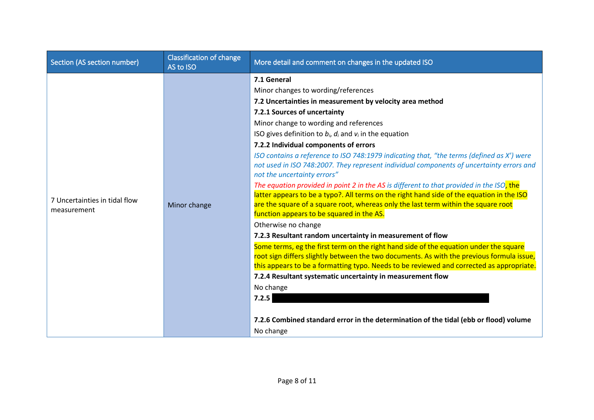| Section (AS section number)                  | <b>Classification of change</b><br>AS to ISO | More detail and comment on changes in the updated ISO                                                                                                                                                                                                                                                                    |
|----------------------------------------------|----------------------------------------------|--------------------------------------------------------------------------------------------------------------------------------------------------------------------------------------------------------------------------------------------------------------------------------------------------------------------------|
|                                              |                                              | 7.1 General                                                                                                                                                                                                                                                                                                              |
|                                              |                                              | Minor changes to wording/references                                                                                                                                                                                                                                                                                      |
|                                              |                                              | 7.2 Uncertainties in measurement by velocity area method                                                                                                                                                                                                                                                                 |
|                                              |                                              | 7.2.1 Sources of uncertainty                                                                                                                                                                                                                                                                                             |
|                                              |                                              | Minor change to wording and references                                                                                                                                                                                                                                                                                   |
|                                              |                                              | ISO gives definition to $b_i$ , $d_i$ and $v_i$ in the equation                                                                                                                                                                                                                                                          |
|                                              |                                              | 7.2.2 Individual components of errors                                                                                                                                                                                                                                                                                    |
| 7 Uncertainties in tidal flow<br>measurement | Minor change                                 | ISO contains a reference to ISO 748:1979 indicating that, "the terms (defined as X') were<br>not used in ISO 748:2007. They represent individual components of uncertainty errors and<br>not the uncertainty errors"                                                                                                     |
|                                              |                                              | The equation provided in point 2 in the AS is different to that provided in the ISO, the<br>latter appears to be a typo?. All terms on the right hand side of the equation in the ISO<br>are the square of a square root, whereas only the last term within the square root<br>function appears to be squared in the AS. |
|                                              |                                              | Otherwise no change                                                                                                                                                                                                                                                                                                      |
|                                              |                                              | 7.2.3 Resultant random uncertainty in measurement of flow                                                                                                                                                                                                                                                                |
|                                              |                                              | Some terms, eg the first term on the right hand side of the equation under the square<br>root sign differs slightly between the two documents. As with the previous formula issue,<br>this appears to be a formatting typo. Needs to be reviewed and corrected as appropriate.                                           |
|                                              |                                              | 7.2.4 Resultant systematic uncertainty in measurement flow                                                                                                                                                                                                                                                               |
|                                              |                                              | No change                                                                                                                                                                                                                                                                                                                |
|                                              |                                              | 7.2.5                                                                                                                                                                                                                                                                                                                    |
|                                              |                                              | 7.2.6 Combined standard error in the determination of the tidal (ebb or flood) volume<br>No change                                                                                                                                                                                                                       |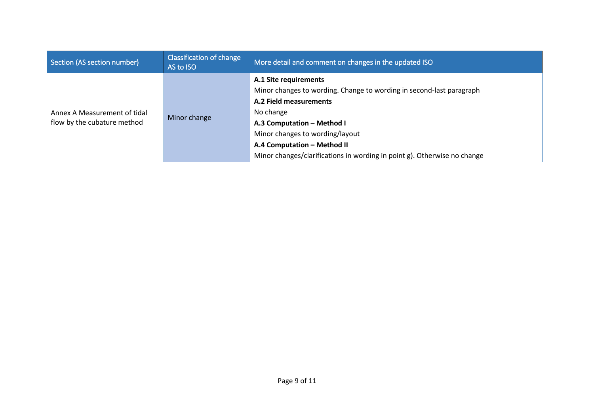| Section (AS section number)<br>AS to ISO                                    | More detail and comment on changes in the updated ISO                                                                                                                                                                                                                                                            |
|-----------------------------------------------------------------------------|------------------------------------------------------------------------------------------------------------------------------------------------------------------------------------------------------------------------------------------------------------------------------------------------------------------|
| Annex A Measurement of tidal<br>Minor change<br>flow by the cubature method | A.1 Site requirements<br>Minor changes to wording. Change to wording in second-last paragraph<br>A.2 Field measurements<br>No change<br>A.3 Computation - Method I<br>Minor changes to wording/layout<br>A.4 Computation - Method II<br>Minor changes/clarifications in wording in point g). Otherwise no change |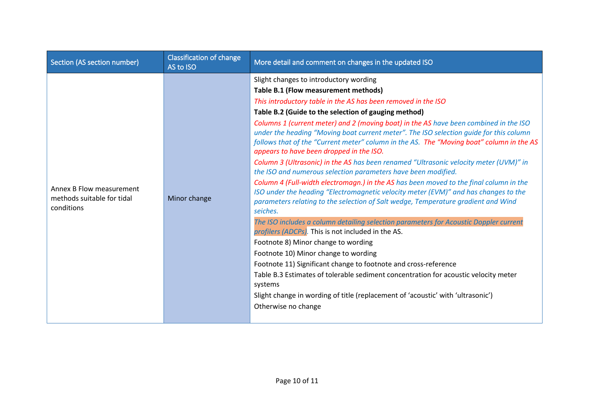| Section (AS section number)                                          | <b>Classification of change</b><br>AS to ISO | More detail and comment on changes in the updated ISO                                                                                                                                                                                                                                                                                                                                                                                                                                                                                                                                                                                                                                                                                                                                                                                                                                                                                                                                                                                                                                                                                                                                                                                                                                                                                                                                                                                                                                       |
|----------------------------------------------------------------------|----------------------------------------------|---------------------------------------------------------------------------------------------------------------------------------------------------------------------------------------------------------------------------------------------------------------------------------------------------------------------------------------------------------------------------------------------------------------------------------------------------------------------------------------------------------------------------------------------------------------------------------------------------------------------------------------------------------------------------------------------------------------------------------------------------------------------------------------------------------------------------------------------------------------------------------------------------------------------------------------------------------------------------------------------------------------------------------------------------------------------------------------------------------------------------------------------------------------------------------------------------------------------------------------------------------------------------------------------------------------------------------------------------------------------------------------------------------------------------------------------------------------------------------------------|
| Annex B Flow measurement<br>methods suitable for tidal<br>conditions | Minor change                                 | Slight changes to introductory wording<br>Table B.1 (Flow measurement methods)<br>This introductory table in the AS has been removed in the ISO<br>Table B.2 (Guide to the selection of gauging method)<br>Columns 1 (current meter) and 2 (moving boat) in the AS have been combined in the ISO<br>under the heading "Moving boat current meter". The ISO selection guide for this column<br>follows that of the "Current meter" column in the AS. The "Moving boat" column in the AS<br>appears to have been dropped in the ISO.<br>Column 3 (Ultrasonic) in the AS has been renamed "Ultrasonic velocity meter (UVM)" in<br>the ISO and numerous selection parameters have been modified.<br>Column 4 (Full-width electromagn.) in the AS has been moved to the final column in the<br>ISO under the heading "Electromagnetic velocity meter (EVM)" and has changes to the<br>parameters relating to the selection of Salt wedge, Temperature gradient and Wind<br>seiches.<br>The ISO includes a column detailing selection parameters for Acoustic Doppler current<br>profilers (ADCPs). This is not included in the AS.<br>Footnote 8) Minor change to wording<br>Footnote 10) Minor change to wording<br>Footnote 11) Significant change to footnote and cross-reference<br>Table B.3 Estimates of tolerable sediment concentration for acoustic velocity meter<br>systems<br>Slight change in wording of title (replacement of 'acoustic' with 'ultrasonic')<br>Otherwise no change |